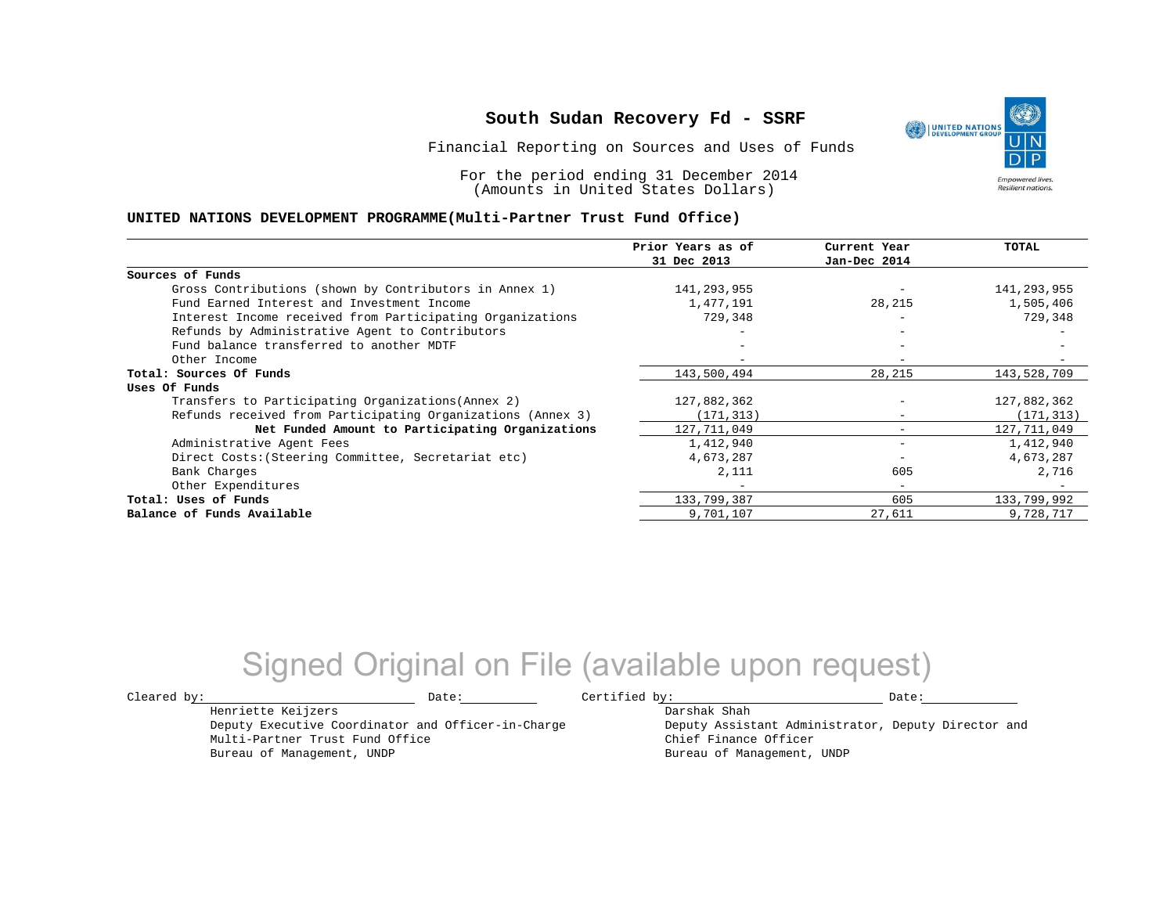Financial Reporting on Sources and Uses of Funds

For the period ending 31 December 2014 (Amounts in United States Dollars)

#### **UNITED NATIONS DEVELOPMENT PROGRAMME(Multi-Partner Trust Fund Office)**

|                                                             | Prior Years as of<br>31 Dec 2013 | Current Year<br>Jan-Dec 2014 | <b>TOTAL</b> |
|-------------------------------------------------------------|----------------------------------|------------------------------|--------------|
|                                                             |                                  |                              |              |
| Sources of Funds                                            |                                  |                              |              |
| Gross Contributions (shown by Contributors in Annex 1)      | 141,293,955                      |                              | 141,293,955  |
| Fund Earned Interest and Investment Income                  | 1,477,191                        | 28,215                       | 1,505,406    |
| Interest Income received from Participating Organizations   | 729,348                          | $\overline{\phantom{m}}$     | 729,348      |
| Refunds by Administrative Agent to Contributors             |                                  |                              |              |
| Fund balance transferred to another MDTF                    |                                  |                              |              |
| Other Income                                                |                                  | $\overline{\phantom{0}}$     |              |
| Total: Sources Of Funds                                     | 143,500,494                      | 28,215                       | 143,528,709  |
| Uses Of Funds                                               |                                  |                              |              |
| Transfers to Participating Organizations (Annex 2)          | 127,882,362                      |                              | 127,882,362  |
| Refunds received from Participating Organizations (Annex 3) | (171, 313)                       | $\qquad \qquad -$            | (171, 313)   |
| Net Funded Amount to Participating Organizations            | 127,711,049                      |                              | 127,711,049  |
| Administrative Agent Fees                                   | 1,412,940                        | $\qquad \qquad \blacksquare$ | 1,412,940    |
| Direct Costs: (Steering Committee, Secretariat etc)         | 4,673,287                        |                              | 4,673,287    |
| Bank Charges                                                | 2,111                            | 605                          | 2,716        |
| Other Expenditures                                          |                                  | $\overline{\phantom{a}}$     |              |
| Total: Uses of Funds                                        | 133,799,387                      | 605                          | 133,799,992  |
| Balance of Funds Available                                  | 9,701,107                        | 27,611                       | 9,728,717    |

## Signed Original on File (available upon request)

 $\texttt{Cleared by:}\footnotesize \begin{minipage}{0.9\linewidth} \texttt{Date:}\footnotesize \begin{minipage}{0.9\linewidth} \texttt{Date:}\footnotesize \begin{minipage}{0.9\linewidth} \end{minipage} \end{minipage}$ 

Henriette Keijzers

Multi-Partner Trust Fund Office Bureau of Management, UNDP

Deputy Executive Coordinator and Officer-in-Charge

Darshak Shah

Deputy Assistant Administrator, Deputy Director and Chief Finance Officer Bureau of Management, UNDP

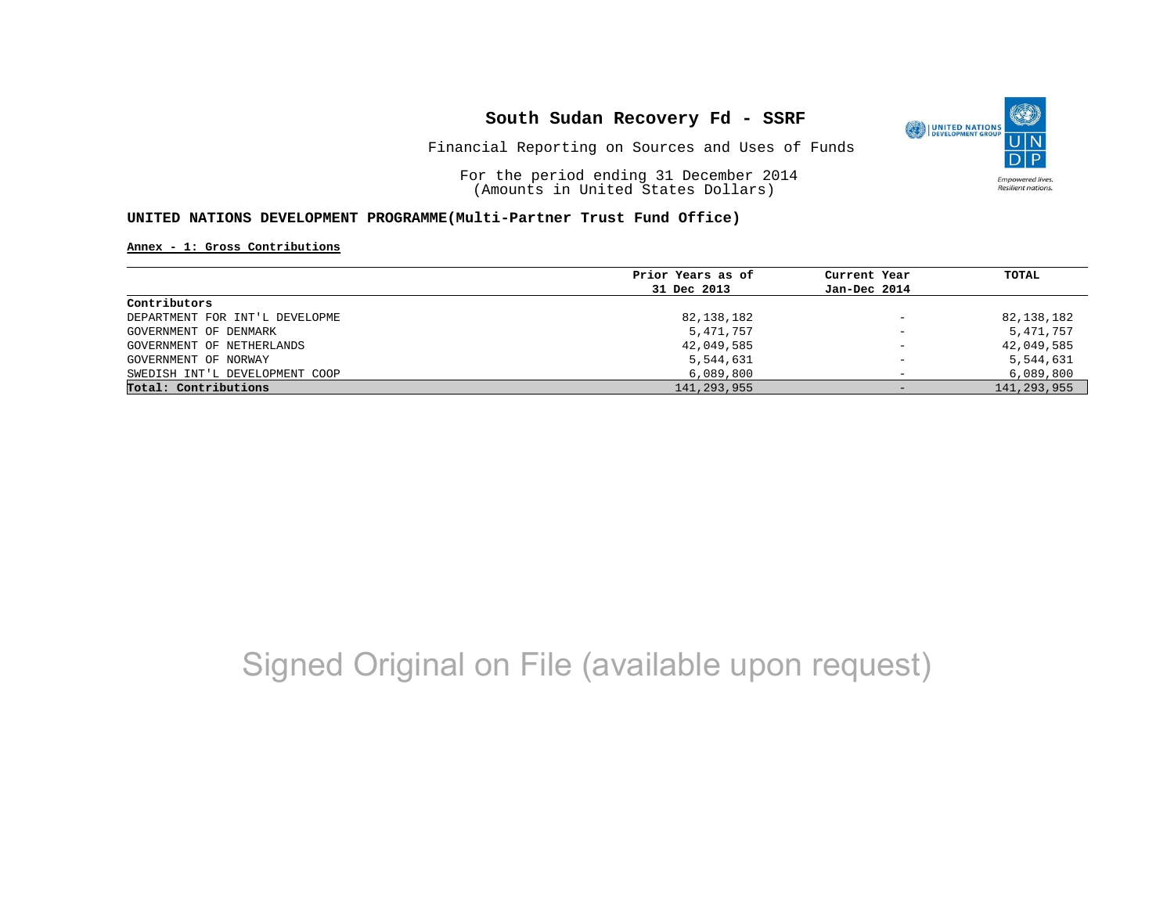

Financial Reporting on Sources and Uses of Funds

For the period ending 31 December 2014 (Amounts in United States Dollars)

#### **UNITED NATIONS DEVELOPMENT PROGRAMME(Multi-Partner Trust Fund Office)**

**Annex - 1: Gross Contributions**

|                                | Prior Years as of | Current Year             | TOTAL         |
|--------------------------------|-------------------|--------------------------|---------------|
|                                | 31 Dec 2013       | Jan-Dec 2014             |               |
| Contributors                   |                   |                          |               |
| DEPARTMENT FOR INT'L DEVELOPME | 82,138,182        | $\qquad \qquad -$        | 82,138,182    |
| GOVERNMENT OF DENMARK          | 5,471,757         | $\overline{\phantom{a}}$ | 5,471,757     |
| GOVERNMENT OF NETHERLANDS      | 42,049,585        | $\qquad \qquad -$        | 42,049,585    |
| GOVERNMENT OF NORWAY           | 5,544,631         | $\overline{\phantom{0}}$ | 5,544,631     |
| SWEDISH INT'L DEVELOPMENT COOP | 6,089,800         |                          | 6,089,800     |
| Total: Contributions           | 141,293,955       | $-$                      | 141, 293, 955 |

# Signed Original on File (available upon request)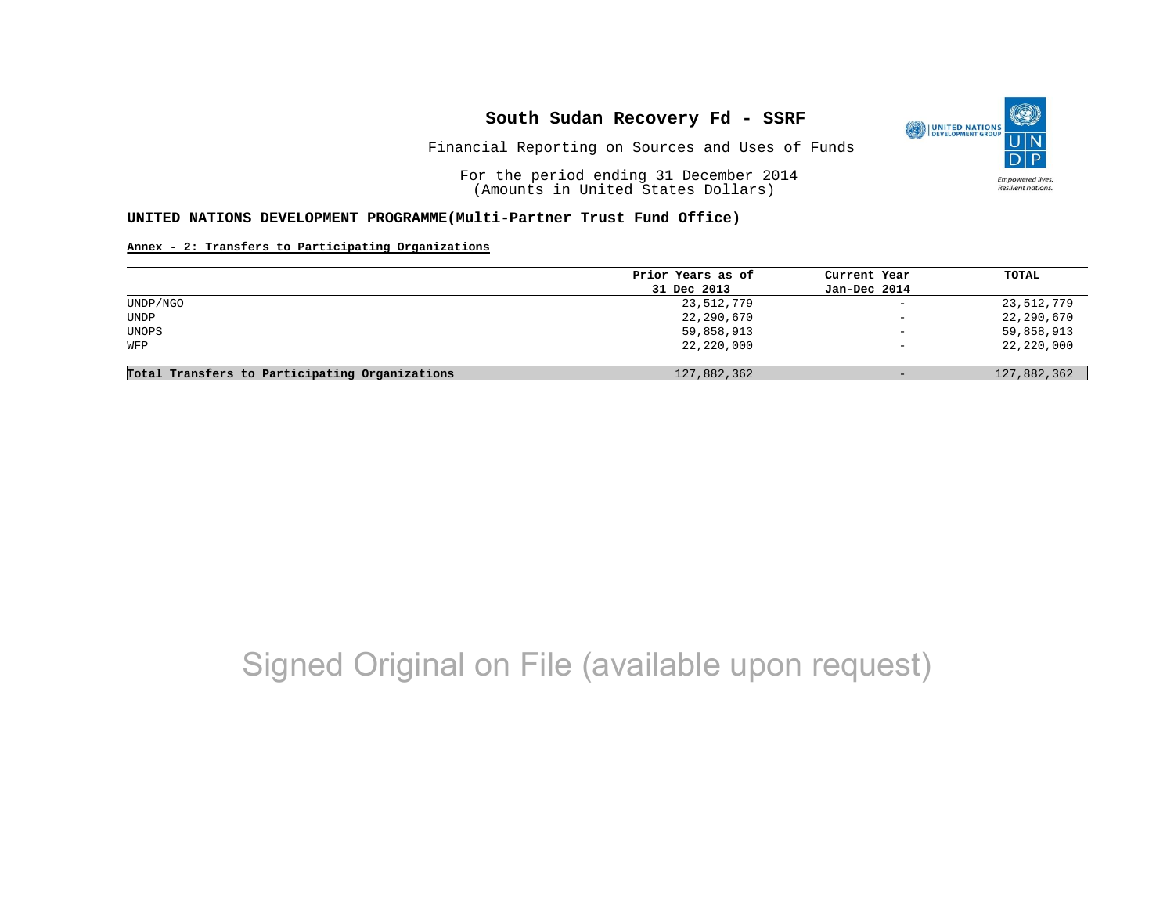

Financial Reporting on Sources and Uses of Funds

For the period ending 31 December 2014 (Amounts in United States Dollars)

#### **UNITED NATIONS DEVELOPMENT PROGRAMME(Multi-Partner Trust Fund Office)**

#### **Annex - 2: Transfers to Participating Organizations**

|                                                | Prior Years as of | Current Year             | TOTAL       |
|------------------------------------------------|-------------------|--------------------------|-------------|
|                                                | 31 Dec 2013       | Jan-Dec 2014             |             |
| UNDP/NGO                                       | 23,512,779        | $\overline{\phantom{0}}$ | 23,512,779  |
| UNDP                                           | 22,290,670        | $\overline{\phantom{a}}$ | 22,290,670  |
| UNOPS                                          | 59,858,913        | $\qquad \qquad -$        | 59,858,913  |
| WFP                                            | 22,220,000        | $\overline{\phantom{0}}$ | 22,220,000  |
|                                                |                   |                          |             |
| Total Transfers to Participating Organizations | 127,882,362       | $\overline{\phantom{m}}$ | 127,882,362 |

## Signed Original on File (available upon request)